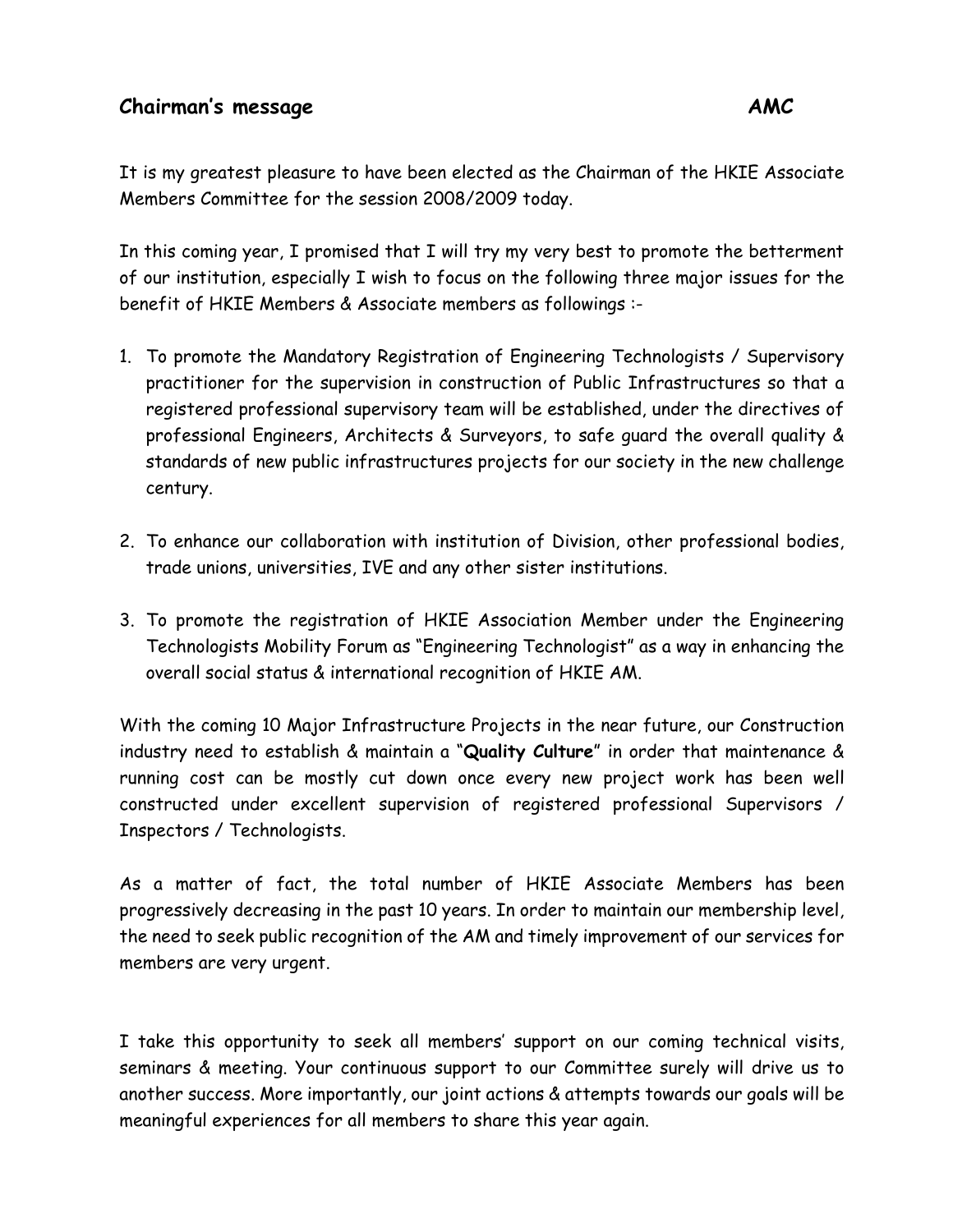## **Chairman's message AMC**

It is my greatest pleasure to have been elected as the Chairman of the HKIE Associate Members Committee for the session 2008/2009 today.

In this coming year, I promised that I will try my very best to promote the betterment of our institution, especially I wish to focus on the following three major issues for the benefit of HKIE Members & Associate members as followings :-

- 1. To promote the Mandatory Registration of Engineering Technologists / Supervisory practitioner for the supervision in construction of Public Infrastructures so that a registered professional supervisory team will be established, under the directives of professional Engineers, Architects & Surveyors, to safe guard the overall quality & standards of new public infrastructures projects for our society in the new challenge century.
- 2. To enhance our collaboration with institution of Division, other professional bodies, trade unions, universities, IVE and any other sister institutions.
- 3. To promote the registration of HKIE Association Member under the Engineering Technologists Mobility Forum as "Engineering Technologist" as a way in enhancing the overall social status & international recognition of HKIE AM.

With the coming 10 Major Infrastructure Projects in the near future, our Construction industry need to establish & maintain a "**Quality Culture**" in order that maintenance & running cost can be mostly cut down once every new project work has been well constructed under excellent supervision of registered professional Supervisors / Inspectors / Technologists.

As a matter of fact, the total number of HKIE Associate Members has been progressively decreasing in the past 10 years. In order to maintain our membership level, the need to seek public recognition of the AM and timely improvement of our services for members are very urgent.

I take this opportunity to seek all members' support on our coming technical visits, seminars & meeting. Your continuous support to our Committee surely will drive us to another success. More importantly, our joint actions & attempts towards our goals will be meaningful experiences for all members to share this year again.